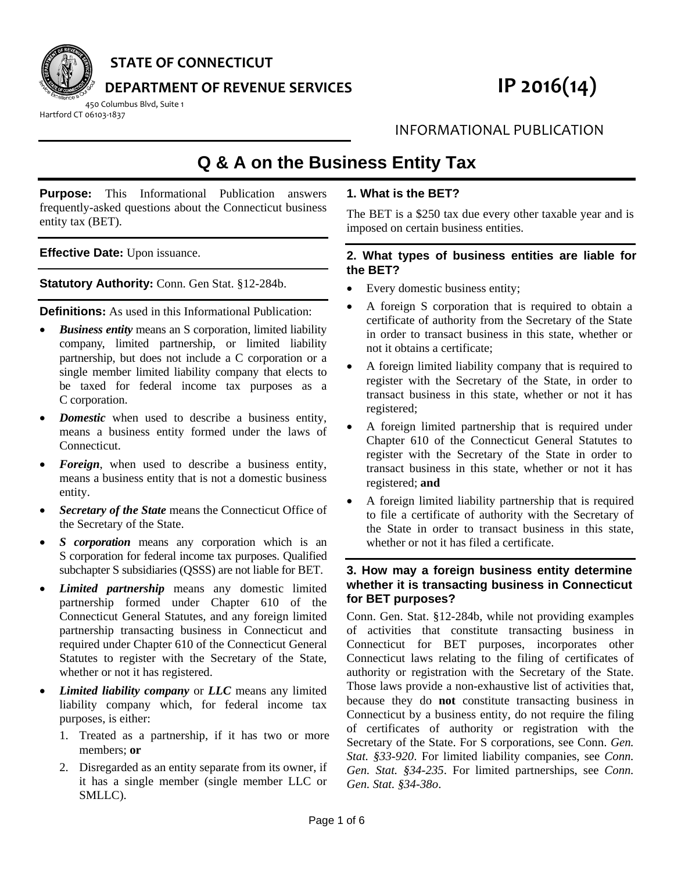

**STATE OF CONNECTICUT**

**DEPARTMENT OF REVENUE SERVICES IP 2016(14)**

450 Columbus Blvd, Suite 1 Hartford CT 06103‐1837

INFORMATIONAL PUBLICATION

# **Q & A on the Business Entity Tax**

**Purpose:** This Informational Publication answers frequently-asked questions about the Connecticut business entity tax (BET).

**Effective Date:** Upon issuance.

**Statutory Authority:** Conn. Gen Stat. §12-284b.

**Definitions:** As used in this Informational Publication:

- *Business entity* means an S corporation, limited liability company, limited partnership, or limited liability partnership, but does not include a C corporation or a single member limited liability company that elects to be taxed for federal income tax purposes as a C corporation.
- *Domestic* when used to describe a business entity, means a business entity formed under the laws of Connecticut.
- *Foreign*, when used to describe a business entity, means a business entity that is not a domestic business entity.
- *Secretary of the State* means the Connecticut Office of the Secretary of the State.
- *S corporation* means any corporation which is an S corporation for federal income tax purposes. Qualified subchapter S subsidiaries (QSSS) are not liable for BET.
- *Limited partnership* means any domestic limited partnership formed under Chapter 610 of the Connecticut General Statutes, and any foreign limited partnership transacting business in Connecticut and required under Chapter 610 of the Connecticut General Statutes to register with the Secretary of the State, whether or not it has registered.
- *Limited liability company* or *LLC* means any limited liability company which, for federal income tax purposes, is either:
	- 1. Treated as a partnership, if it has two or more members; **or**
	- 2. Disregarded as an entity separate from its owner, if it has a single member (single member LLC or SMLLC).

# **1. What is the BET?**

The BET is a \$250 tax due every other taxable year and is imposed on certain business entities.

#### **2. What types of business entities are liable for the BET?**

- Every domestic business entity;
- A foreign S corporation that is required to obtain a certificate of authority from the Secretary of the State in order to transact business in this state, whether or not it obtains a certificate;
- A foreign limited liability company that is required to register with the Secretary of the State, in order to transact business in this state, whether or not it has registered;
- A foreign limited partnership that is required under Chapter 610 of the Connecticut General Statutes to register with the Secretary of the State in order to transact business in this state, whether or not it has registered; **and**
- A foreign limited liability partnership that is required to file a certificate of authority with the Secretary of the State in order to transact business in this state, whether or not it has filed a certificate.

## **3. How may a foreign business entity determine whether it is transacting business in Connecticut for BET purposes?**

Conn. Gen. Stat. §12-284b, while not providing examples of activities that constitute transacting business in Connecticut for BET purposes, incorporates other Connecticut laws relating to the filing of certificates of authority or registration with the Secretary of the State. Those laws provide a non-exhaustive list of activities that, because they do **not** constitute transacting business in Connecticut by a business entity, do not require the filing of certificates of authority or registration with the Secretary of the State. For S corporations, see Conn. *Gen. Stat. §33-920*. For limited liability companies, see *Conn. Gen. Stat. §34-235*. For limited partnerships, see *Conn. Gen. Stat. §34-38o*.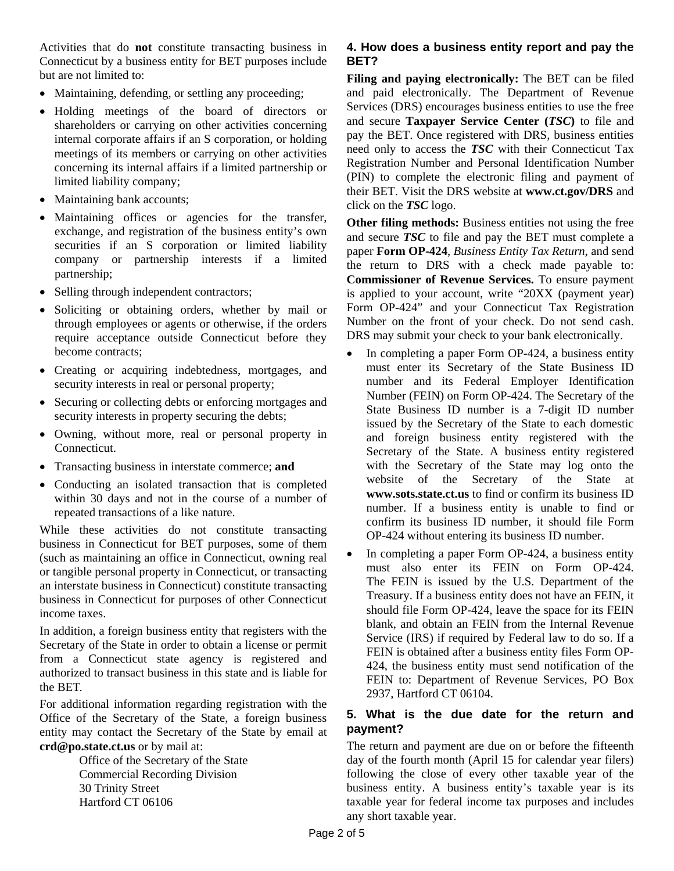Activities that do **not** constitute transacting business in Connecticut by a business entity for BET purposes include but are not limited to:

- Maintaining, defending, or settling any proceeding;
- Holding meetings of the board of directors or shareholders or carrying on other activities concerning internal corporate affairs if an S corporation, or holding meetings of its members or carrying on other activities concerning its internal affairs if a limited partnership or limited liability company;
- Maintaining bank accounts;
- Maintaining offices or agencies for the transfer, exchange, and registration of the business entity's own securities if an S corporation or limited liability company or partnership interests if a limited partnership;
- Selling through independent contractors;
- Soliciting or obtaining orders, whether by mail or through employees or agents or otherwise, if the orders require acceptance outside Connecticut before they become contracts;
- Creating or acquiring indebtedness, mortgages, and security interests in real or personal property;
- Securing or collecting debts or enforcing mortgages and security interests in property securing the debts;
- Owning, without more, real or personal property in Connecticut.
- Transacting business in interstate commerce; **and**
- Conducting an isolated transaction that is completed within 30 days and not in the course of a number of repeated transactions of a like nature.

While these activities do not constitute transacting business in Connecticut for BET purposes, some of them (such as maintaining an office in Connecticut, owning real or tangible personal property in Connecticut, or transacting an interstate business in Connecticut) constitute transacting business in Connecticut for purposes of other Connecticut income taxes.

In addition, a foreign business entity that registers with the Secretary of the State in order to obtain a license or permit from a Connecticut state agency is registered and authorized to transact business in this state and is liable for the BET.

For additional information regarding registration with the Office of the Secretary of the State, a foreign business entity may contact the Secretary of the State by email at **crd@po.state.ct.us** or by mail at:

> Office of the Secretary of the State Commercial Recording Division 30 Trinity Street Hartford CT 06106

## **4. How does a business entity report and pay the BET?**

**Filing and paying electronically:** The BET can be filed and paid electronically. The Department of Revenue Services (DRS) encourages business entities to use the free and secure **Taxpayer Service Center (***TSC***)** to file and pay the BET. Once registered with DRS, business entities need only to access the *TSC* with their Connecticut Tax Registration Number and Personal Identification Number (PIN) to complete the electronic filing and payment of their BET. Visit the DRS website at **www.ct.gov/DRS** and click on the *TSC* logo.

**Other filing methods:** Business entities not using the free and secure *TSC* to file and pay the BET must complete a paper **Form OP-424**, *Business Entity Tax Return*, and send the return to DRS with a check made payable to: **Commissioner of Revenue Services.** To ensure payment is applied to your account, write "20XX (payment year) Form OP-424" and your Connecticut Tax Registration Number on the front of your check. Do not send cash. DRS may submit your check to your bank electronically.

- In completing a paper Form OP-424, a business entity must enter its Secretary of the State Business ID number and its Federal Employer Identification Number (FEIN) on Form OP-424. The Secretary of the State Business ID number is a 7-digit ID number issued by the Secretary of the State to each domestic and foreign business entity registered with the Secretary of the State. A business entity registered with the Secretary of the State may log onto the website of the Secretary of the State at **www.sots.state.ct.us** to find or confirm its business ID number. If a business entity is unable to find or confirm its business ID number, it should file Form OP-424 without entering its business ID number.
- In completing a paper Form OP-424, a business entity must also enter its FEIN on Form OP-424. The FEIN is issued by the U.S. Department of the Treasury. If a business entity does not have an FEIN, it should file Form OP-424, leave the space for its FEIN blank, and obtain an FEIN from the Internal Revenue Service (IRS) if required by Federal law to do so. If a FEIN is obtained after a business entity files Form OP-424, the business entity must send notification of the FEIN to: Department of Revenue Services, PO Box 2937, Hartford CT 06104.

# **5. What is the due date for the return and payment?**

The return and payment are due on or before the fifteenth day of the fourth month (April 15 for calendar year filers) following the close of every other taxable year of the business entity. A business entity's taxable year is its taxable year for federal income tax purposes and includes any short taxable year.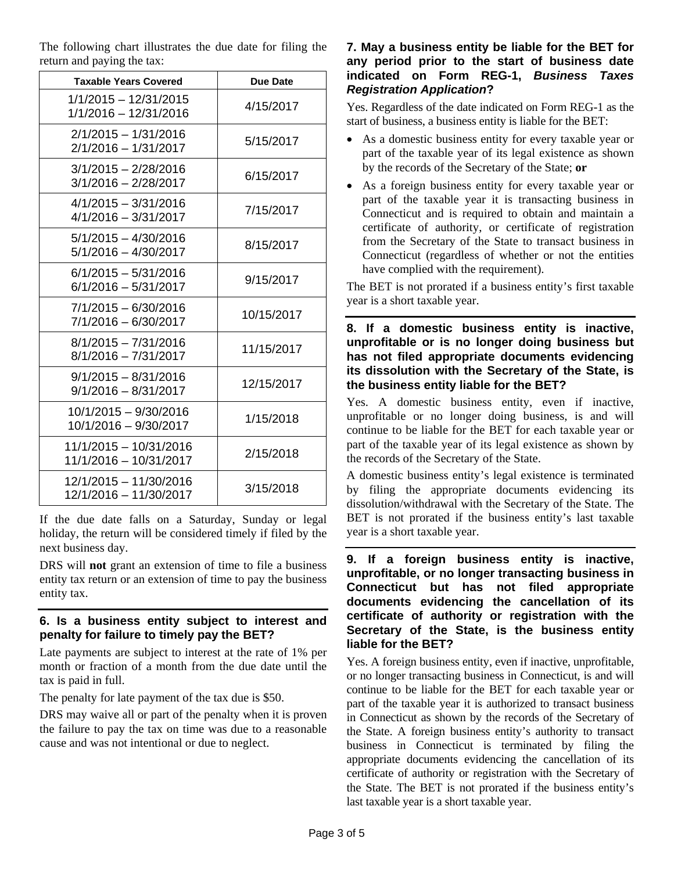The following chart illustrates the due date for filing the return and paying the tax:

| <b>Taxable Years Covered</b>                     | Due Date   |
|--------------------------------------------------|------------|
| 1/1/2015 - 12/31/2015<br>1/1/2016 - 12/31/2016   | 4/15/2017  |
| $2/1/2015 - 1/31/2016$<br>$2/1/2016 - 1/31/2017$ | 5/15/2017  |
| $3/1/2015 - 2/28/2016$<br>3/1/2016 - 2/28/2017   | 6/15/2017  |
| $4/1/2015 - 3/31/2016$<br>$4/1/2016 - 3/31/2017$ | 7/15/2017  |
| $5/1/2015 - 4/30/2016$<br>$5/1/2016 - 4/30/2017$ | 8/15/2017  |
| $6/1/2015 - 5/31/2016$<br>$6/1/2016 - 5/31/2017$ | 9/15/2017  |
| 7/1/2015 - 6/30/2016<br>7/1/2016 - 6/30/2017     | 10/15/2017 |
| $8/1/2015 - 7/31/2016$<br>$8/1/2016 - 7/31/2017$ | 11/15/2017 |
| $9/1/2015 - 8/31/2016$<br>$9/1/2016 - 8/31/2017$ | 12/15/2017 |
| 10/1/2015 - 9/30/2016<br>10/1/2016 - 9/30/2017   | 1/15/2018  |
| 11/1/2015 - 10/31/2016<br>11/1/2016 - 10/31/2017 | 2/15/2018  |
| 12/1/2015 - 11/30/2016<br>12/1/2016 - 11/30/2017 | 3/15/2018  |

If the due date falls on a Saturday, Sunday or legal holiday, the return will be considered timely if filed by the next business day.

DRS will **not** grant an extension of time to file a business entity tax return or an extension of time to pay the business entity tax.

#### **6. Is a business entity subject to interest and penalty for failure to timely pay the BET?**

Late payments are subject to interest at the rate of 1% per month or fraction of a month from the due date until the tax is paid in full.

The penalty for late payment of the tax due is \$50.

DRS may waive all or part of the penalty when it is proven the failure to pay the tax on time was due to a reasonable cause and was not intentional or due to neglect.

#### **7. May a business entity be liable for the BET for any period prior to the start of business date indicated on Form REG-1,** *Business Taxes Registration Application***?**

Yes. Regardless of the date indicated on Form REG-1 as the start of business, a business entity is liable for the BET:

- As a domestic business entity for every taxable year or part of the taxable year of its legal existence as shown by the records of the Secretary of the State; **or**
- As a foreign business entity for every taxable year or part of the taxable year it is transacting business in Connecticut and is required to obtain and maintain a certificate of authority, or certificate of registration from the Secretary of the State to transact business in Connecticut (regardless of whether or not the entities have complied with the requirement).

The BET is not prorated if a business entity's first taxable year is a short taxable year.

## **8. If a domestic business entity is inactive, unprofitable or is no longer doing business but has not filed appropriate documents evidencing its dissolution with the Secretary of the State, is the business entity liable for the BET?**

Yes. A domestic business entity, even if inactive, unprofitable or no longer doing business, is and will continue to be liable for the BET for each taxable year or part of the taxable year of its legal existence as shown by the records of the Secretary of the State.

A domestic business entity's legal existence is terminated by filing the appropriate documents evidencing its dissolution/withdrawal with the Secretary of the State. The BET is not prorated if the business entity's last taxable year is a short taxable year.

**9. If a foreign business entity is inactive, unprofitable, or no longer transacting business in Connecticut but has not filed appropriate documents evidencing the cancellation of its certificate of authority or registration with the Secretary of the State, is the business entity liable for the BET?** 

Yes. A foreign business entity, even if inactive, unprofitable, or no longer transacting business in Connecticut, is and will continue to be liable for the BET for each taxable year or part of the taxable year it is authorized to transact business in Connecticut as shown by the records of the Secretary of the State. A foreign business entity's authority to transact business in Connecticut is terminated by filing the appropriate documents evidencing the cancellation of its certificate of authority or registration with the Secretary of the State. The BET is not prorated if the business entity's last taxable year is a short taxable year.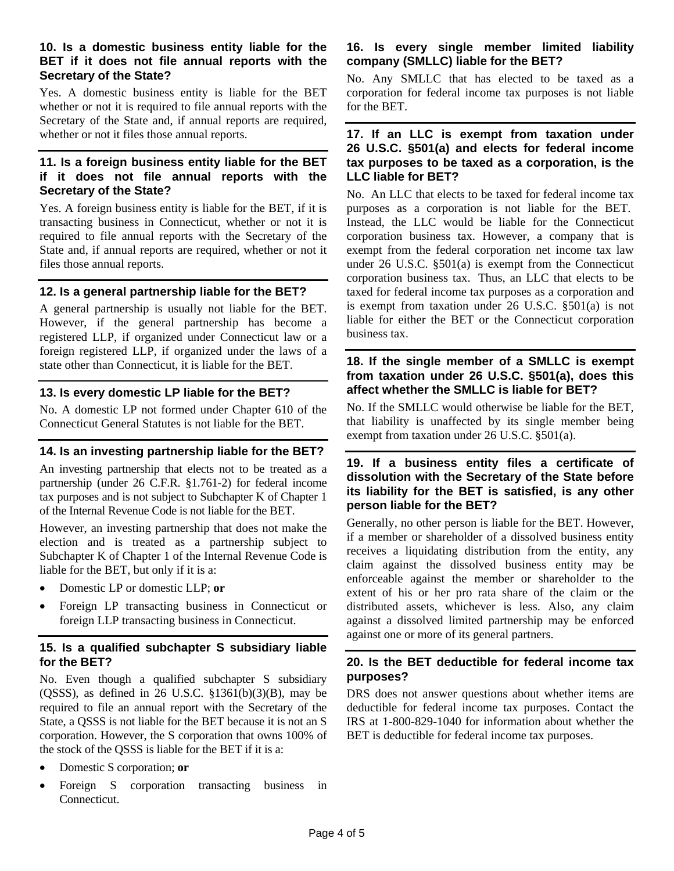#### **10. Is a domestic business entity liable for the BET if it does not file annual reports with the Secretary of the State?**

Yes. A domestic business entity is liable for the BET whether or not it is required to file annual reports with the Secretary of the State and, if annual reports are required, whether or not it files those annual reports.

#### **11. Is a foreign business entity liable for the BET if it does not file annual reports with the Secretary of the State?**

Yes. A foreign business entity is liable for the BET, if it is transacting business in Connecticut, whether or not it is required to file annual reports with the Secretary of the State and, if annual reports are required, whether or not it files those annual reports.

#### **12. Is a general partnership liable for the BET?**

A general partnership is usually not liable for the BET. However, if the general partnership has become a registered LLP, if organized under Connecticut law or a foreign registered LLP, if organized under the laws of a state other than Connecticut, it is liable for the BET.

# **13. Is every domestic LP liable for the BET?**

No. A domestic LP not formed under Chapter 610 of the Connecticut General Statutes is not liable for the BET.

# **14. Is an investing partnership liable for the BET?**

An investing partnership that elects not to be treated as a partnership (under 26 C.F.R. §1.761-2) for federal income tax purposes and is not subject to Subchapter K of Chapter 1 of the Internal Revenue Code is not liable for the BET.

However, an investing partnership that does not make the election and is treated as a partnership subject to Subchapter K of Chapter 1 of the Internal Revenue Code is liable for the BET, but only if it is a:

- Domestic LP or domestic LLP; **or**
- Foreign LP transacting business in Connecticut or foreign LLP transacting business in Connecticut.

# **15. Is a qualified subchapter S subsidiary liable for the BET?**

No. Even though a qualified subchapter S subsidiary  $(OSSS)$ , as defined in 26 U.S.C.  $$1361(b)(3)(B)$ , may be required to file an annual report with the Secretary of the State, a QSSS is not liable for the BET because it is not an S corporation. However, the S corporation that owns 100% of the stock of the QSSS is liable for the BET if it is a:

- Domestic S corporation; **or**
- Foreign S corporation transacting business in Connecticut.

# **16. Is every single member limited liability company (SMLLC) liable for the BET?**

No. Any SMLLC that has elected to be taxed as a corporation for federal income tax purposes is not liable for the BET.

#### **17. If an LLC is exempt from taxation under 26 U.S.C. §501(a) and elects for federal income tax purposes to be taxed as a corporation, is the LLC liable for BET?**

No. An LLC that elects to be taxed for federal income tax purposes as a corporation is not liable for the BET. Instead, the LLC would be liable for the Connecticut corporation business tax. However, a company that is exempt from the federal corporation net income tax law under 26 U.S.C. §501(a) is exempt from the Connecticut corporation business tax. Thus, an LLC that elects to be taxed for federal income tax purposes as a corporation and is exempt from taxation under 26 U.S.C. §501(a) is not liable for either the BET or the Connecticut corporation business tax.

# **18. If the single member of a SMLLC is exempt from taxation under 26 U.S.C. §501(a), does this affect whether the SMLLC is liable for BET?**

No. If the SMLLC would otherwise be liable for the BET, that liability is unaffected by its single member being exempt from taxation under 26 U.S.C. §501(a).

# **19. If a business entity files a certificate of dissolution with the Secretary of the State before its liability for the BET is satisfied, is any other person liable for the BET?**

Generally, no other person is liable for the BET. However, if a member or shareholder of a dissolved business entity receives a liquidating distribution from the entity, any claim against the dissolved business entity may be enforceable against the member or shareholder to the extent of his or her pro rata share of the claim or the distributed assets, whichever is less. Also, any claim against a dissolved limited partnership may be enforced against one or more of its general partners.

# **20. Is the BET deductible for federal income tax purposes?**

DRS does not answer questions about whether items are deductible for federal income tax purposes. Contact the IRS at 1-800-829-1040 for information about whether the BET is deductible for federal income tax purposes.